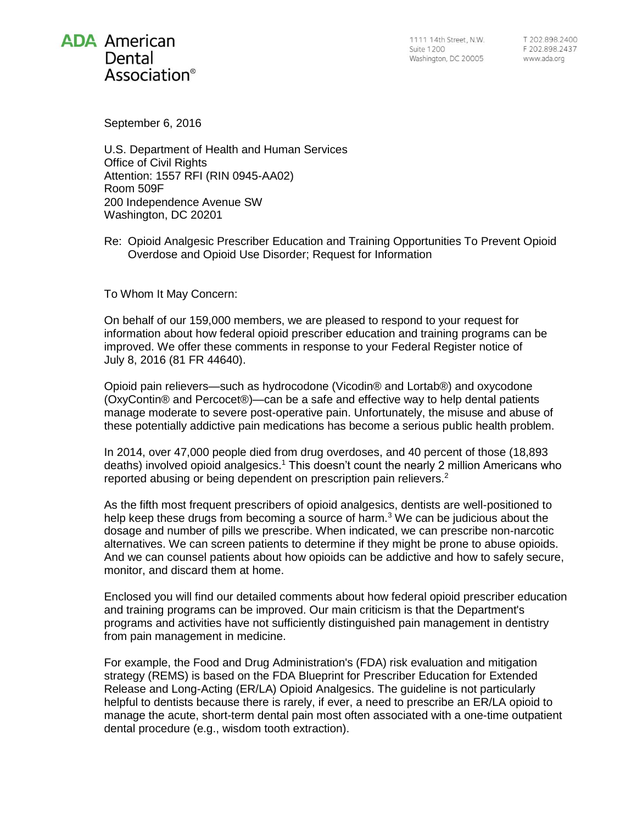# **ADA American** Dental Association<sup>®</sup>

1111 14th Street, N.W. **Suite 1200** Washington, DC 20005

T 202.898.2400 F 202.898.2437 www.ada.org

September 6, 2016

U.S. Department of Health and Human Services Office of Civil Rights Attention: 1557 RFI (RIN 0945-AA02) Room 509F 200 Independence Avenue SW Washington, DC 20201

Re: Opioid Analgesic Prescriber Education and Training Opportunities To Prevent Opioid Overdose and Opioid Use Disorder; Request for Information

To Whom It May Concern:

On behalf of our 159,000 members, we are pleased to respond to your request for information about how federal opioid prescriber education and training programs can be improved. We offer these comments in response to your Federal Register notice of July 8, 2016 (81 FR 44640).

Opioid pain relievers—such as hydrocodone (Vicodin® and Lortab®) and oxycodone (OxyContin® and Percocet®)—can be a safe and effective way to help dental patients manage moderate to severe post-operative pain. Unfortunately, the misuse and abuse of these potentially addictive pain medications has become a serious public health problem.

In 2014, over 47,000 people died from drug overdoses, and 40 percent of those (18,893 deaths) involved opioid analgesics.<sup>1</sup> This doesn't count the nearly 2 million Americans who reported abusing or being dependent on prescription pain relievers.<sup>2</sup>

As the fifth most frequent prescribers of opioid analgesics, dentists are well-positioned to help keep these drugs from becoming a source of harm.<sup>3</sup> We can be judicious about the dosage and number of pills we prescribe. When indicated, we can prescribe non-narcotic alternatives. We can screen patients to determine if they might be prone to abuse opioids. And we can counsel patients about how opioids can be addictive and how to safely secure, monitor, and discard them at home.

Enclosed you will find our detailed comments about how federal opioid prescriber education and training programs can be improved. Our main criticism is that the Department's programs and activities have not sufficiently distinguished pain management in dentistry from pain management in medicine.

For example, the Food and Drug Administration's (FDA) risk evaluation and mitigation strategy (REMS) is based on the FDA Blueprint for Prescriber Education for Extended Release and Long-Acting (ER/LA) Opioid Analgesics. The guideline is not particularly helpful to dentists because there is rarely, if ever, a need to prescribe an ER/LA opioid to manage the acute, short-term dental pain most often associated with a one-time outpatient dental procedure (e.g., wisdom tooth extraction).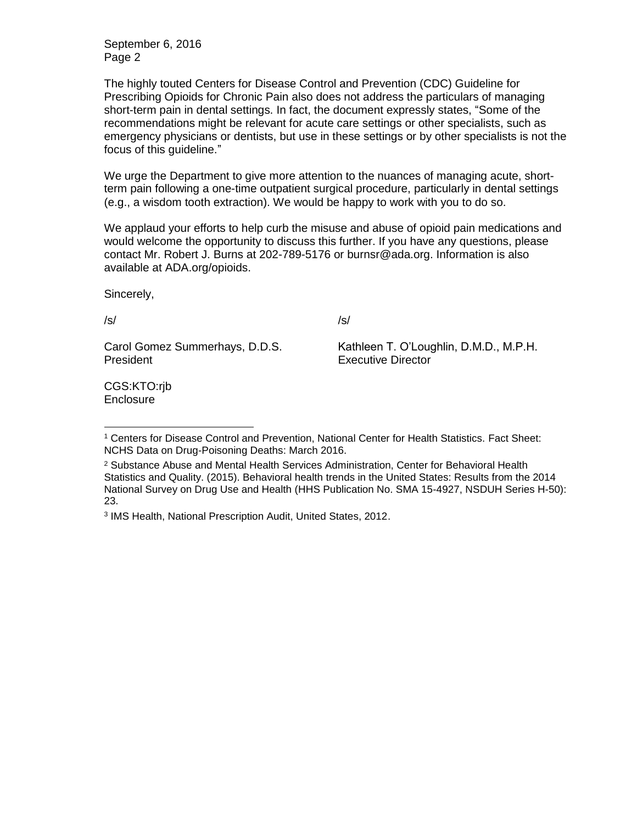September 6, 2016 Page 2

The highly touted Centers for Disease Control and Prevention (CDC) Guideline for Prescribing Opioids for Chronic Pain also does not address the particulars of managing short-term pain in dental settings. In fact, the document expressly states, "Some of the recommendations might be relevant for acute care settings or other specialists, such as emergency physicians or dentists, but use in these settings or by other specialists is not the focus of this guideline."

We urge the Department to give more attention to the nuances of managing acute, shortterm pain following a one-time outpatient surgical procedure, particularly in dental settings (e.g., a wisdom tooth extraction). We would be happy to work with you to do so.

We applaud your efforts to help curb the misuse and abuse of opioid pain medications and would welcome the opportunity to discuss this further. If you have any questions, please contact Mr. Robert J. Burns at 202-789-5176 or burnsr@ada.org. Information is also available at ADA.org/opioids.

Sincerely,

/s/

 $\overline{a}$ 

/s/

Carol Gomez Summerhays, D.D.S. President

Kathleen T. O'Loughlin, D.M.D., M.P.H. Executive Director

CGS:KTO:rjb **Enclosure** 

<sup>1</sup> Centers for Disease Control and Prevention, National Center for Health Statistics. Fact Sheet: NCHS Data on Drug-Poisoning Deaths: March 2016.

<sup>2</sup> Substance Abuse and Mental Health Services Administration, Center for Behavioral Health Statistics and Quality. (2015). Behavioral health trends in the United States: Results from the 2014 National Survey on Drug Use and Health (HHS Publication No. SMA 15-4927, NSDUH Series H-50): 23.

<sup>3</sup> IMS Health, National Prescription Audit, United States, 2012.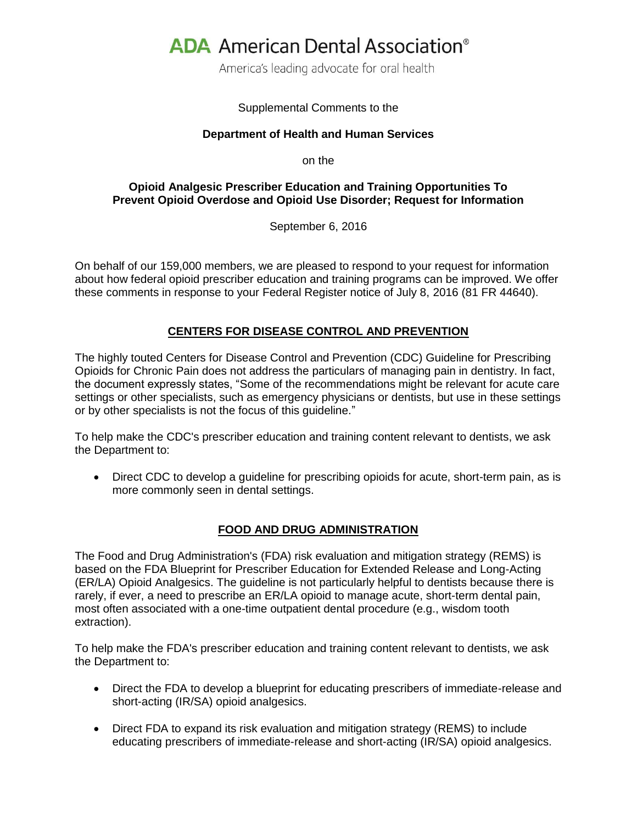# **ADA** American Dental Association<sup>®</sup>

America's leading advocate for oral health

### Supplemental Comments to the

#### **Department of Health and Human Services**

on the

# **Opioid Analgesic Prescriber Education and Training Opportunities To Prevent Opioid Overdose and Opioid Use Disorder; Request for Information**

September 6, 2016

On behalf of our 159,000 members, we are pleased to respond to your request for information about how federal opioid prescriber education and training programs can be improved. We offer these comments in response to your Federal Register notice of July 8, 2016 (81 FR 44640).

# **CENTERS FOR DISEASE CONTROL AND PREVENTION**

The highly touted Centers for Disease Control and Prevention (CDC) Guideline for Prescribing Opioids for Chronic Pain does not address the particulars of managing pain in dentistry. In fact, the document expressly states, "Some of the recommendations might be relevant for acute care settings or other specialists, such as emergency physicians or dentists, but use in these settings or by other specialists is not the focus of this guideline."

To help make the CDC's prescriber education and training content relevant to dentists, we ask the Department to:

 Direct CDC to develop a guideline for prescribing opioids for acute, short-term pain, as is more commonly seen in dental settings.

# **FOOD AND DRUG ADMINISTRATION**

The Food and Drug Administration's (FDA) risk evaluation and mitigation strategy (REMS) is based on the FDA Blueprint for Prescriber Education for Extended Release and Long-Acting (ER/LA) Opioid Analgesics. The guideline is not particularly helpful to dentists because there is rarely, if ever, a need to prescribe an ER/LA opioid to manage acute, short-term dental pain, most often associated with a one-time outpatient dental procedure (e.g., wisdom tooth extraction).

To help make the FDA's prescriber education and training content relevant to dentists, we ask the Department to:

- Direct the FDA to develop a blueprint for educating prescribers of immediate-release and short-acting (IR/SA) opioid analgesics.
- Direct FDA to expand its risk evaluation and mitigation strategy (REMS) to include educating prescribers of immediate-release and short-acting (IR/SA) opioid analgesics.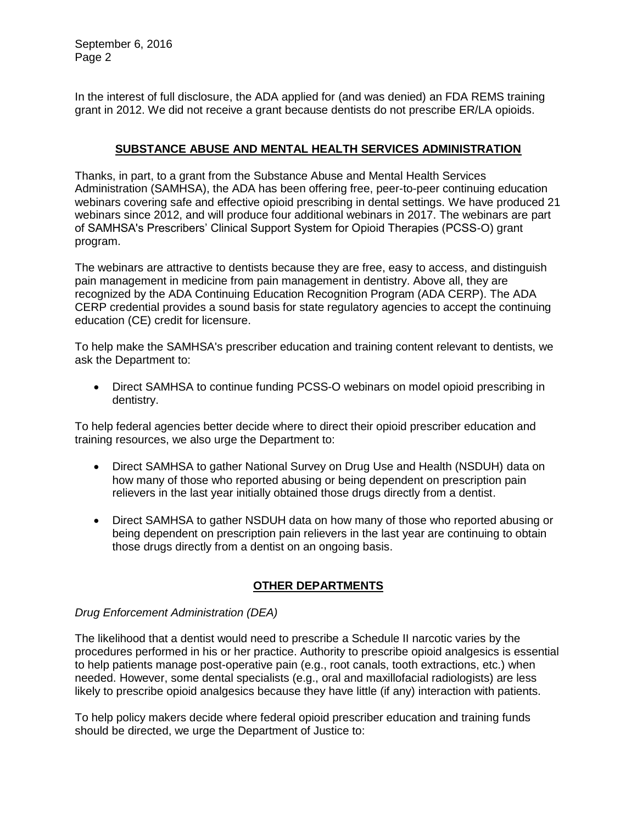September 6, 2016 Page 2

In the interest of full disclosure, the ADA applied for (and was denied) an FDA REMS training grant in 2012. We did not receive a grant because dentists do not prescribe ER/LA opioids.

# **SUBSTANCE ABUSE AND MENTAL HEALTH SERVICES ADMINISTRATION**

Thanks, in part, to a grant from the Substance Abuse and Mental Health Services Administration (SAMHSA), the ADA has been offering free, peer-to-peer continuing education webinars covering safe and effective opioid prescribing in dental settings. We have produced 21 webinars since 2012, and will produce four additional webinars in 2017. The webinars are part of SAMHSA's Prescribers' Clinical Support System for Opioid Therapies (PCSS-O) grant program.

The webinars are attractive to dentists because they are free, easy to access, and distinguish pain management in medicine from pain management in dentistry. Above all, they are recognized by the ADA Continuing Education Recognition Program (ADA CERP). The ADA CERP credential provides a sound basis for state regulatory agencies to accept the continuing education (CE) credit for licensure.

To help make the SAMHSA's prescriber education and training content relevant to dentists, we ask the Department to:

 Direct SAMHSA to continue funding PCSS-O webinars on model opioid prescribing in dentistry.

To help federal agencies better decide where to direct their opioid prescriber education and training resources, we also urge the Department to:

- Direct SAMHSA to gather National Survey on Drug Use and Health (NSDUH) data on how many of those who reported abusing or being dependent on prescription pain relievers in the last year initially obtained those drugs directly from a dentist.
- Direct SAMHSA to gather NSDUH data on how many of those who reported abusing or being dependent on prescription pain relievers in the last year are continuing to obtain those drugs directly from a dentist on an ongoing basis.

# **OTHER DEPARTMENTS**

# *Drug Enforcement Administration (DEA)*

The likelihood that a dentist would need to prescribe a Schedule II narcotic varies by the procedures performed in his or her practice. Authority to prescribe opioid analgesics is essential to help patients manage post-operative pain (e.g., root canals, tooth extractions, etc.) when needed. However, some dental specialists (e.g., oral and maxillofacial radiologists) are less likely to prescribe opioid analgesics because they have little (if any) interaction with patients.

To help policy makers decide where federal opioid prescriber education and training funds should be directed, we urge the Department of Justice to: